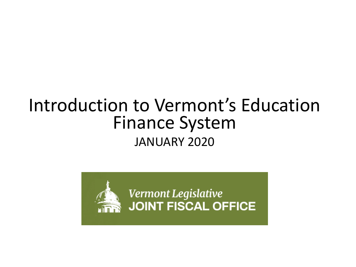# Introduction to Vermont's Education Finance System JANUARY 2020

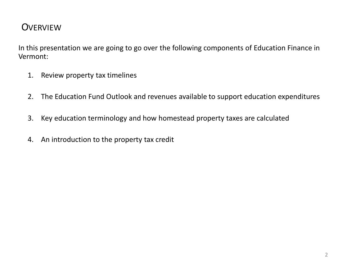#### **OVERVIEW**

In this presentation we are going to go over the following components of Education Finance in Vermont:

- 1. Review property tax timelines
- 2. The Education Fund Outlook and revenues available to support education expenditures
- 3. Key education terminology and how homestead property taxes are calculated
- 4. An introduction to the property tax credit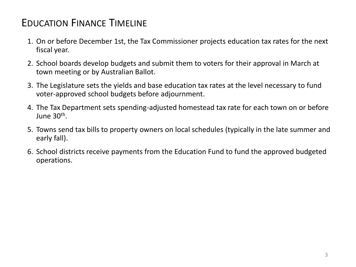## EDUCATION FINANCE TIMELINE

- 1. On or before December 1st, the Tax Commissioner projects education tax rates for the next fiscal year.
- 2. School boards develop budgets and submit them to voters for their approval in March at town meeting or by Australian Ballot.
- 3. The Legislature sets the yields and base education tax rates at the level necessary to fund voter-approved school budgets before adjournment.
- 4. The Tax Department sets spending-adjusted homestead tax rate for each town on or before June 30<sup>th</sup>.
- 5. Towns send tax bills to property owners on local schedules (typically in the late summer and early fall).
- 6. School districts receive payments from the Education Fund to fund the approved budgeted operations.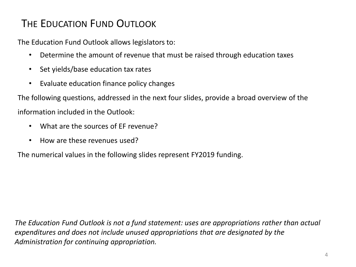### THE EDUCATION FUND OUTLOOK

The Education Fund Outlook allows legislators to:

- Determine the amount of revenue that must be raised through education taxes
- Set yields/base education tax rates
- Evaluate education finance policy changes

The following questions, addressed in the next four slides, provide a broad overview of the

information included in the Outlook:

- What are the sources of FF revenue?
- How are these revenues used?

The numerical values in the following slides represent FY2019 funding.

*The Education Fund Outlook is not a fund statement: uses are appropriations rather than actual expenditures and does not include unused appropriations that are designated by the Administration for continuing appropriation.*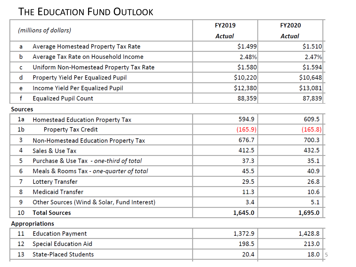#### THE EDUCATION FUND OUTLOOK

| (millions of dollars) |                                             | <b>FY2019</b> | <b>FY2020</b> |  |  |  |
|-----------------------|---------------------------------------------|---------------|---------------|--|--|--|
|                       |                                             | <b>Actual</b> | <b>Actual</b> |  |  |  |
| a                     | Average Homestead Property Tax Rate         | \$1.499       | \$1.510       |  |  |  |
| b                     | Average Tax Rate on Household Income        | 2.48%         | 2.47%         |  |  |  |
| C                     | Uniform Non-Homestead Property Tax Rate     | \$1.580       | \$1.594       |  |  |  |
| d                     | Property Yield Per Equalized Pupil          | \$10,220      | \$10,648      |  |  |  |
| e                     | Income Yield Per Equalized Pupil            | \$12,380      | \$13,081      |  |  |  |
| f                     | <b>Equalized Pupil Count</b>                | 88,359        | 87,839        |  |  |  |
| <b>Sources</b>        |                                             |               |               |  |  |  |
| 1a                    | <b>Homestead Education Property Tax</b>     | 594.9         | 609.5         |  |  |  |
| 1b                    | <b>Property Tax Credit</b>                  | (165.9)       | (165.8)       |  |  |  |
| 3                     | Non-Homestead Education Property Tax        | 676.7         | 700.3         |  |  |  |
| 4                     | Sales & Use Tax                             | 412.5         | 432.5         |  |  |  |
| 5                     | Purchase & Use Tax - one-third of total     | 37.3          | 35.1          |  |  |  |
| 6                     | Meals & Rooms Tax - one-quarter of total    | 45.5          | 40.9          |  |  |  |
| 7                     | <b>Lottery Transfer</b>                     | 29.5          | 26.8          |  |  |  |
| 8                     | <b>Medicaid Transfer</b>                    | 11.3          | 10.6          |  |  |  |
| 9                     | Other Sources (Wind & Solar, Fund Interest) | 3.4           | 5.1           |  |  |  |
| 10                    | <b>Total Sources</b>                        | 1,645.0       | 1,695.0       |  |  |  |
| <b>Appropriations</b> |                                             |               |               |  |  |  |
| 11                    | <b>Education Payment</b>                    | 1,372.9       | 1,428.8       |  |  |  |
| 12                    | <b>Special Education Aid</b>                | 198.5         | 213.0         |  |  |  |

| <b>State-Placed Students</b> |  |  |
|------------------------------|--|--|
|                              |  |  |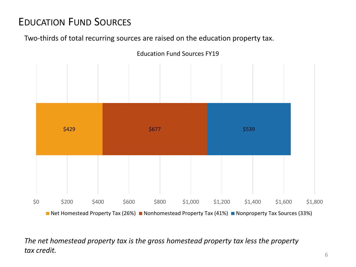# EDUCATION FUND SOURCES

Two-thirds of total recurring sources are raised on the education property tax.



*The net homestead property tax is the gross homestead property tax less the property tax credit.*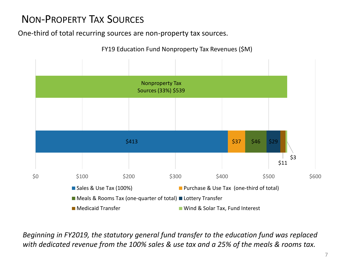# NON-PROPERTY TAX SOURCES

One-third of total recurring sources are non-property tax sources.



FY19 Education Fund Nonproperty Tax Revenues (\$M)

*Beginning in FY2019, the statutory general fund transfer to the education fund was replaced with dedicated revenue from the 100% sales & use tax and a 25% of the meals & rooms tax.*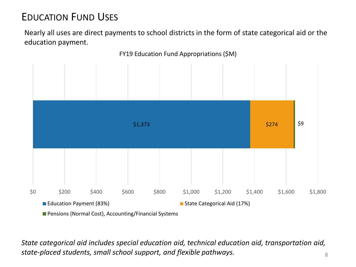# EDUCATION FUND USES

Nearly all uses are direct payments to school districts in the form of state categorical aid or the education payment.



*State categorical aid includes special education aid, technical education aid, transportation aid, state-placed students, small school support, and flexible pathways.*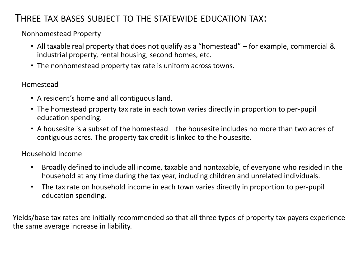#### THREE TAX BASES SUBJECT TO THE STATEWIDE EDUCATION TAX:

Nonhomestead Property

- All taxable real property that does not qualify as a "homestead" for example, commercial & industrial property, rental housing, second homes, etc.
- The nonhomestead property tax rate is uniform across towns.

#### Homestead

- A resident's home and all contiguous land.
- The homestead property tax rate in each town varies directly in proportion to per-pupil education spending.
- A housesite is a subset of the homestead the housesite includes no more than two acres of contiguous acres. The property tax credit is linked to the housesite.

#### Household Income

- Broadly defined to include all income, taxable and nontaxable, of everyone who resided in the household at any time during the tax year, including children and unrelated individuals.
- The tax rate on household income in each town varies directly in proportion to per-pupil education spending.

Yields/base tax rates are initially recommended so that all three types of property tax payers experience the same average increase in liability.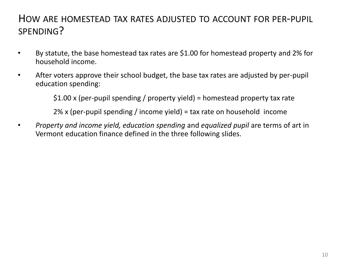#### HOW ARE HOMESTEAD TAX RATES ADJUSTED TO ACCOUNT FOR PER-PUPIL SPENDING?

- By statute, the base homestead tax rates are \$1.00 for homestead property and 2% for household income.
- After voters approve their school budget, the base tax rates are adjusted by per-pupil education spending:

\$1.00 x (per-pupil spending / property yield) = homestead property tax rate

2% x (per-pupil spending / income yield) = tax rate on household income

• *Property and income yield, education spending* and *equalized pupil* are terms of art in Vermont education finance defined in the three following slides.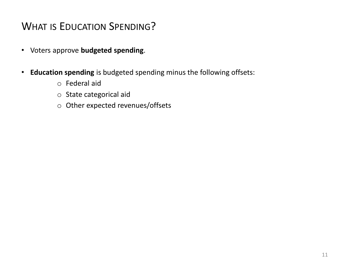#### WHAT IS EDUCATION SPENDING?

- Voters approve **budgeted spending**.
- **Education spending** is budgeted spending minus the following offsets:
	- o Federal aid
	- o State categorical aid
	- o Other expected revenues/offsets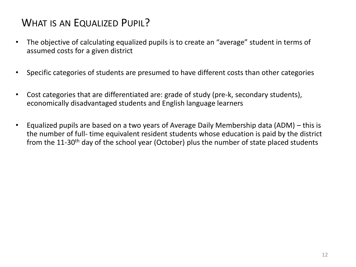# WHAT IS AN EQUALIZED PUPIL?

- The objective of calculating equalized pupils is to create an "average" student in terms of assumed costs for a given district
- Specific categories of students are presumed to have different costs than other categories
- Cost categories that are differentiated are: grade of study (pre-k, secondary students), economically disadvantaged students and English language learners
- Equalized pupils are based on a two years of Average Daily Membership data (ADM) this is the number of full- time equivalent resident students whose education is paid by the district from the 11-30<sup>th</sup> day of the school year (October) plus the number of state placed students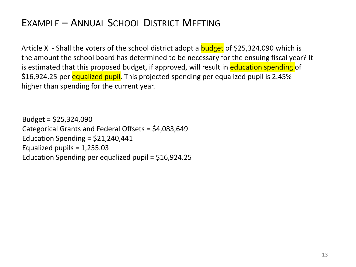#### EXAMPLE – ANNUAL SCHOOL DISTRICT MEETING

Article X - Shall the voters of the school district adopt a **budget** of \$25,324,090 which is the amount the school board has determined to be necessary for the ensuing fiscal year? It is estimated that this proposed budget, if approved, will result in education spending of \$16,924.25 per equalized pupil. This projected spending per equalized pupil is 2.45% higher than spending for the current year.

Budget = \$25,324,090 Categorical Grants and Federal Offsets = \$4,083,649 Education Spending =  $$21,240,441$ Equalized pupils = 1,255.03 Education Spending per equalized pupil = \$16,924.25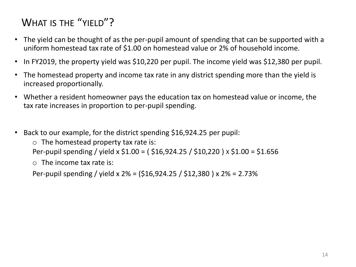# WHAT IS THE "YIFLD"?

- The yield can be thought of as the per-pupil amount of spending that can be supported with a uniform homestead tax rate of \$1.00 on homestead value or 2% of household income.
- In FY2019, the property yield was \$10,220 per pupil. The income yield was \$12,380 per pupil.
- The homestead property and income tax rate in any district spending more than the yield is increased proportionally.
- Whether a resident homeowner pays the education tax on homestead value or income, the tax rate increases in proportion to per-pupil spending.
- Back to our example, for the district spending \$16,924.25 per pupil:

 $\circ$  The homestead property tax rate is:

Per-pupil spending / yield x \$1.00 = ( \$16,924.25 / \$10,220 ) X \$1.00 = \$1.656

 $\circ$  The income tax rate is:

Per-pupil spending / yield x 2% = (\$16,924.25 / \$12,380 ) x 2% = 2.73%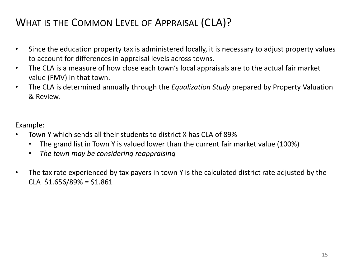### WHAT IS THE COMMON LEVEL OF APPRAISAL (CLA)?

- Since the education property tax is administered locally, it is necessary to adjust property values to account for differences in appraisal levels across towns.
- The CLA is a measure of how close each town's local appraisals are to the actual fair market value (FMV) in that town.
- The CLA is determined annually through the *Equalization Study* prepared by Property Valuation & Review.

Example:

- Town Y which sends all their students to district X has CLA of 89%
	- The grand list in Town Y is valued lower than the current fair market value (100%)
	- *The town may be considering reappraising*
- The tax rate experienced by tax payers in town Y is the calculated district rate adjusted by the  $CLA$  \$1.656/89% = \$1.861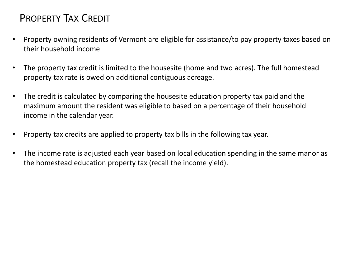#### PROPERTY TAX CREDIT

- Property owning residents of Vermont are eligible for assistance/to pay property taxes based on their household income
- The property tax credit is limited to the housesite (home and two acres). The full homestead property tax rate is owed on additional contiguous acreage.
- The credit is calculated by comparing the housesite education property tax paid and the maximum amount the resident was eligible to based on a percentage of their household income in the calendar year.
- Property tax credits are applied to property tax bills in the following tax year.
- The income rate is adjusted each year based on local education spending in the same manor as the homestead education property tax (recall the income yield).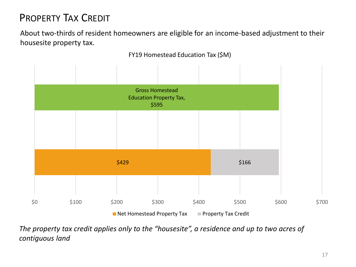# PROPERTY TAX CREDIT

About two-thirds of resident homeowners are eligible for an income-based adjustment to their housesite property tax.



FY19 Homestead Education Tax (\$M)

*The property tax credit applies only to the "housesite", a residence and up to two acres of contiguous land*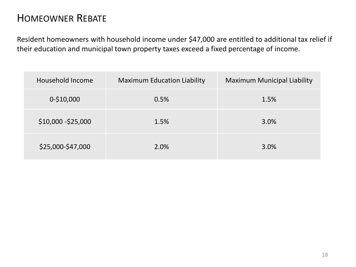#### HOMEOWNER REBATE

Resident homeowners with household income under \$47,000 are entitled to additional tax relief if their education and municipal town property taxes exceed a fixed percentage of income.

| Household Income    | <b>Maximum Education Liability</b> | <b>Maximum Municipal Liability</b> |
|---------------------|------------------------------------|------------------------------------|
| $0-510,000$         | 0.5%                               | 1.5%                               |
| \$10,000 - \$25,000 | 1.5%                               | 3.0%                               |
| \$25,000-\$47,000   | 2.0%                               | 3.0%                               |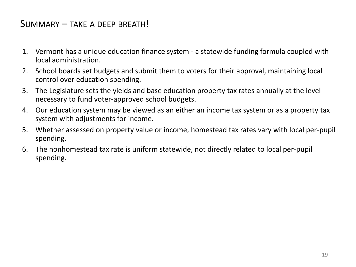#### SUMMARY – TAKE A DEEP BREATH!

- 1. Vermont has a unique education finance system a statewide funding formula coupled with local administration.
- 2. School boards set budgets and submit them to voters for their approval, maintaining local control over education spending.
- 3. The Legislature sets the yields and base education property tax rates annually at the level necessary to fund voter-approved school budgets.
- 4. Our education system may be viewed as an either an income tax system or as a property tax system with adjustments for income.
- 5. Whether assessed on property value or income, homestead tax rates vary with local per-pupil spending.
- 6. The nonhomestead tax rate is uniform statewide, not directly related to local per-pupil spending.